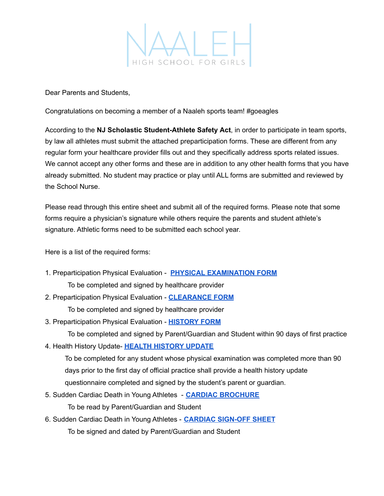

Dear Parents and Students,

Congratulations on becoming a member of a Naaleh sports team! #goeagles

According to the **NJ Scholastic Student-Athlete Safety Act**, in order to participate in team sports, by law all athletes must submit the attached preparticipation forms. These are different from any regular form your healthcare provider fills out and they specifically address sports related issues. We cannot accept any other forms and these are in addition to any other health forms that you have already submitted. No student may practice or play until ALL forms are submitted and reviewed by the School Nurse.

Please read through this entire sheet and submit all of the required forms. Please note that some forms require a physician's signature while others require the parents and student athlete's signature. Athletic forms need to be submitted each school year.

Here is a list of the required forms:

- 1. Preparticipation Physical Evaluation **PHYSICAL [EXAMINATION](https://www.naalehhighschool.org/wp-content/uploads/2019/02/Naaleh-athletic-physical-health-assessment-form.pdf) FORM** To be completed and signed by healthcare provider
- 2. Preparticipation Physical Evaluation **[CLEARANCE](https://www.naalehhighschool.org/wp-content/uploads/2019/02/Naaleh-athletic-clearance-form.pdf) FORM** To be completed and signed by healthcare provider
- 3. Preparticipation Physical Evaluation **[HISTORY](https://www.naalehhighschool.org/wp-content/uploads/2019/02/Naaleh-Athletic-History-Form.pdf) FORM**

To be completed and signed by Parent/Guardian and Student within 90 days of first practice

4. Health History Update- **HEALTH [HISTORY](https://www.naalehhighschool.org/wp-content/uploads/2020/08/HealthHistoryUpdate-2020.pdf) UPDATE**

To be completed for any student whose physical examination was completed more than 90 days prior to the first day of official practice shall provide a health history update questionnaire completed and signed by the student's parent or guardian.

- 5. Sudden Cardiac Death in Young Athletes **CARDIAC [BROCHURE](https://www.naalehhighschool.org/wp-content/uploads/2019/02/Naaleh-cardiac-brochure.pdf)** To be read by Parent/Guardian and Student
- 6. Sudden Cardiac Death in Young Athletes **CARDIAC [SIGN-OFF](https://www.naalehhighschool.org/wp-content/uploads/2019/02/Naaleh-Sudden-Cardiac-Death-Sign-Off.pdf) SHEET** To be signed and dated by Parent/Guardian and Student